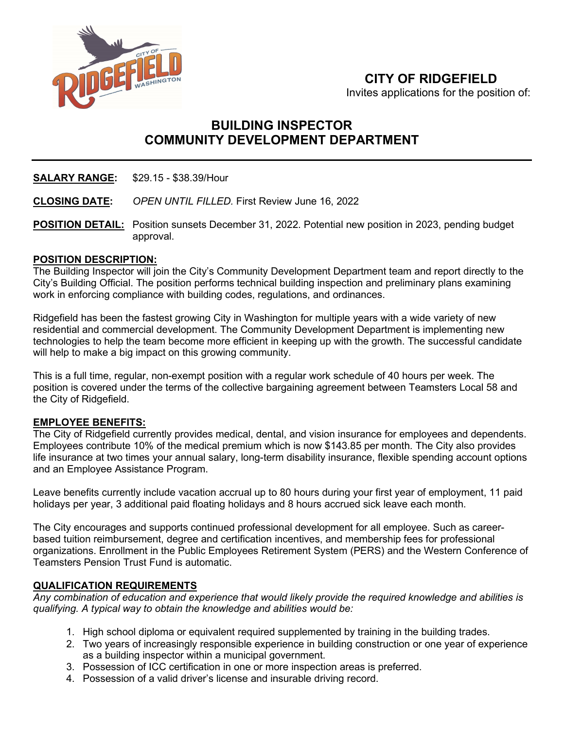

# **CITY OF RIDGEFIELD**

Invites applications for the position of:

# **BUILDING INSPECTOR COMMUNITY DEVELOPMENT DEPARTMENT**

**SALARY RANGE:** \$29.15 - \$38.39/Hour

**CLOSING DATE:** *OPEN UNTIL FILLED.* First Review June 16, 2022

**POSITION DETAIL:** Position sunsets December 31, 2022. Potential new position in 2023, pending budget approval.

### **POSITION DESCRIPTION:**

The Building Inspector will join the City's Community Development Department team and report directly to the City's Building Official. The position performs technical building inspection and preliminary plans examining work in enforcing compliance with building codes, regulations, and ordinances.

Ridgefield has been the fastest growing City in Washington for multiple years with a wide variety of new residential and commercial development. The Community Development Department is implementing new technologies to help the team become more efficient in keeping up with the growth. The successful candidate will help to make a big impact on this growing community.

This is a full time, regular, non-exempt position with a regular work schedule of 40 hours per week. The position is covered under the terms of the collective bargaining agreement between Teamsters Local 58 and the City of Ridgefield.

#### **EMPLOYEE BENEFITS:**

The City of Ridgefield currently provides medical, dental, and vision insurance for employees and dependents. Employees contribute 10% of the medical premium which is now \$143.85 per month. The City also provides life insurance at two times your annual salary, long-term disability insurance, flexible spending account options and an Employee Assistance Program.

Leave benefits currently include vacation accrual up to 80 hours during your first year of employment, 11 paid holidays per year, 3 additional paid floating holidays and 8 hours accrued sick leave each month.

The City encourages and supports continued professional development for all employee. Such as careerbased tuition reimbursement, degree and certification incentives, and membership fees for professional organizations. Enrollment in the Public Employees Retirement System (PERS) and the Western Conference of Teamsters Pension Trust Fund is automatic.

# **QUALIFICATION REQUIREMENTS**

*Any combination of education and experience that would likely provide the required knowledge and abilities is qualifying. A typical way to obtain the knowledge and abilities would be:*

- 1. High school diploma or equivalent required supplemented by training in the building trades.
- 2. Two years of increasingly responsible experience in building construction or one year of experience as a building inspector within a municipal government.
- 3. Possession of ICC certification in one or more inspection areas is preferred.
- 4. Possession of a valid driver's license and insurable driving record.